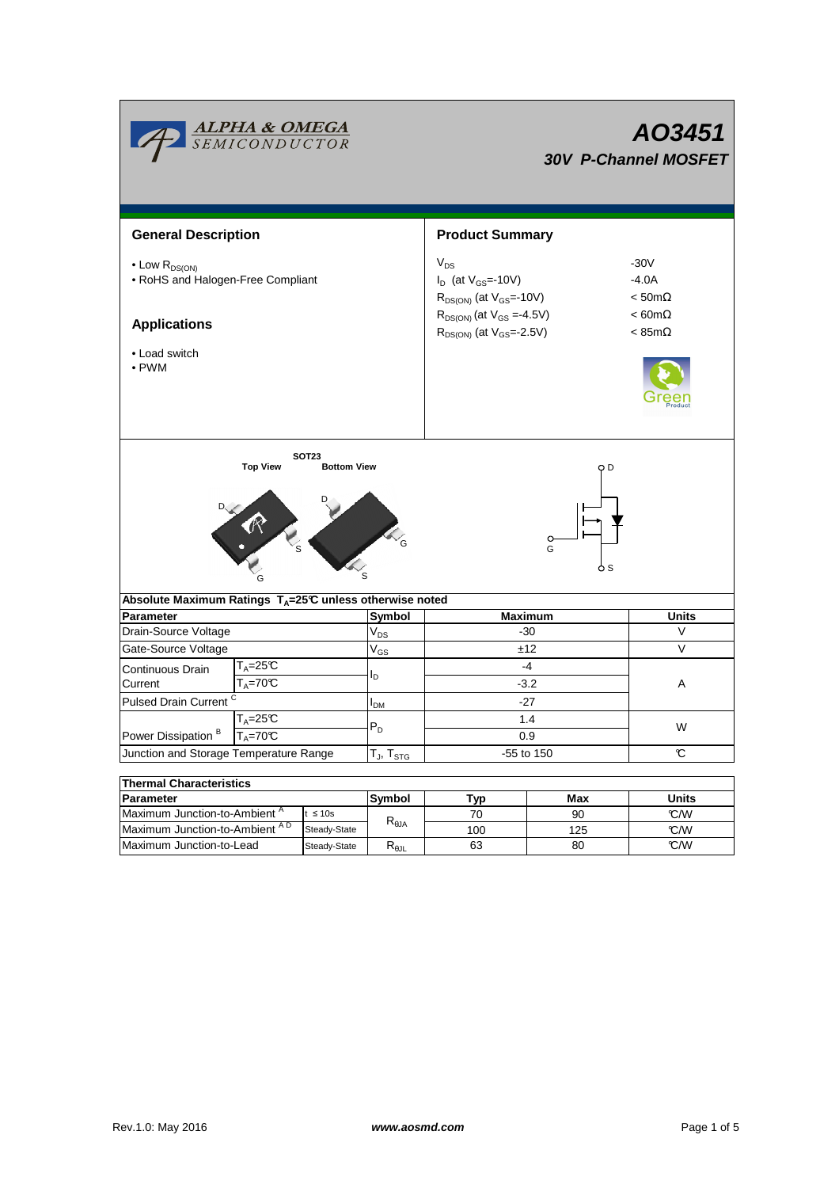|                                                                                                                          | <b>ALPHA &amp; OMEGA</b><br>SEMICONDUCTOR      |                                    |                                  | AO3451<br><b>30V P-Channel MOSFET</b>                                                                                                                  |                                                                                         |              |  |  |  |
|--------------------------------------------------------------------------------------------------------------------------|------------------------------------------------|------------------------------------|----------------------------------|--------------------------------------------------------------------------------------------------------------------------------------------------------|-----------------------------------------------------------------------------------------|--------------|--|--|--|
| <b>General Description</b>                                                                                               |                                                |                                    |                                  | <b>Product Summary</b>                                                                                                                                 |                                                                                         |              |  |  |  |
| $\bullet$ Low $R_{DS(ON)}$<br>• RoHS and Halogen-Free Compliant<br><b>Applications</b><br>• Load switch<br>$\bullet$ PWM |                                                |                                    |                                  | $V_{DS}$<br>$I_D$ (at $V_{GS}$ =-10V)<br>$R_{DS(ON)}$ (at $V_{GS}$ =-10V)<br>$R_{DS(ON)}$ (at $V_{GS} = 4.5V$ )<br>$R_{DS(ON)}$ (at $V_{GS} = -2.5V$ ) | $-30V$<br>$-4.0A$<br>$<$ 50m $\Omega$<br>$< 60 \text{m}\Omega$<br>$< 85 \text{m}\Omega$ |              |  |  |  |
|                                                                                                                          | <b>Top View</b><br>L <sub>S</sub>              | <b>SOT23</b><br><b>Bottom View</b> |                                  | O D<br>$\circ$<br>G<br>o s                                                                                                                             |                                                                                         |              |  |  |  |
| Absolute Maximum Ratings $T_A = 25^\circ \text{C}$ unless otherwise noted                                                |                                                |                                    |                                  |                                                                                                                                                        |                                                                                         |              |  |  |  |
| <b>Parameter</b>                                                                                                         |                                                |                                    | Symbol                           | <b>Maximum</b>                                                                                                                                         |                                                                                         | <b>Units</b> |  |  |  |
| Drain-Source Voltage                                                                                                     |                                                |                                    | $V_{DS}$                         | -30                                                                                                                                                    | V                                                                                       |              |  |  |  |
| Gate-Source Voltage                                                                                                      |                                                |                                    | $V_{GS}$                         | ±12                                                                                                                                                    |                                                                                         | V            |  |  |  |
| Continuous Drain                                                                                                         | $T_A = 25C$                                    |                                    |                                  | $-4$                                                                                                                                                   | Α                                                                                       |              |  |  |  |
| Current                                                                                                                  | $T_A = 70C$                                    |                                    | l <sub>D</sub>                   | $-3.2$                                                                                                                                                 |                                                                                         |              |  |  |  |
| Pulsed Drain Current <sup>C</sup>                                                                                        |                                                |                                    | $I_{DM}$                         | -27                                                                                                                                                    |                                                                                         |              |  |  |  |
|                                                                                                                          | $\mathsf{T}_\mathsf{A}\!\!=\!\!25\mathfrak{C}$ |                                    |                                  | 1.4                                                                                                                                                    |                                                                                         | W            |  |  |  |
| Power Dissipation <sup>B</sup>                                                                                           | $T_A = 70^\circ C$                             |                                    | $P_D$                            | 0.9                                                                                                                                                    |                                                                                         |              |  |  |  |
| Junction and Storage Temperature Range                                                                                   |                                                |                                    | T $_{\sf J},$ T $_{\sf STG}$     | -55 to 150                                                                                                                                             | C                                                                                       |              |  |  |  |
|                                                                                                                          |                                                |                                    |                                  |                                                                                                                                                        |                                                                                         |              |  |  |  |
| <b>Thermal Characteristics</b>                                                                                           |                                                |                                    |                                  |                                                                                                                                                        |                                                                                         |              |  |  |  |
| Parameter<br>Maximum Junction-to-Ambient <sup>A</sup><br>t $\leq 10$ s                                                   |                                                | Symbol                             | Typ<br>70                        | Max<br>90                                                                                                                                              | <b>Units</b><br>C/W                                                                     |              |  |  |  |
|                                                                                                                          | Maximum Junction-to-Ambient AD<br>Steady-State |                                    | $\mathsf{R}_{\theta\mathsf{JA}}$ | 100                                                                                                                                                    | 125                                                                                     | °C/W         |  |  |  |
| Maximum Junction-to-Lead                                                                                                 |                                                | Steady-State                       | $R_{0.11}$                       | 63                                                                                                                                                     | 80                                                                                      | C/W          |  |  |  |

63

Maximum Junction-to-Lead  $\mid$  Steady-State  $\mid$  R<sub>θJL</sub>  $\mid$  63  $\mid$  80

T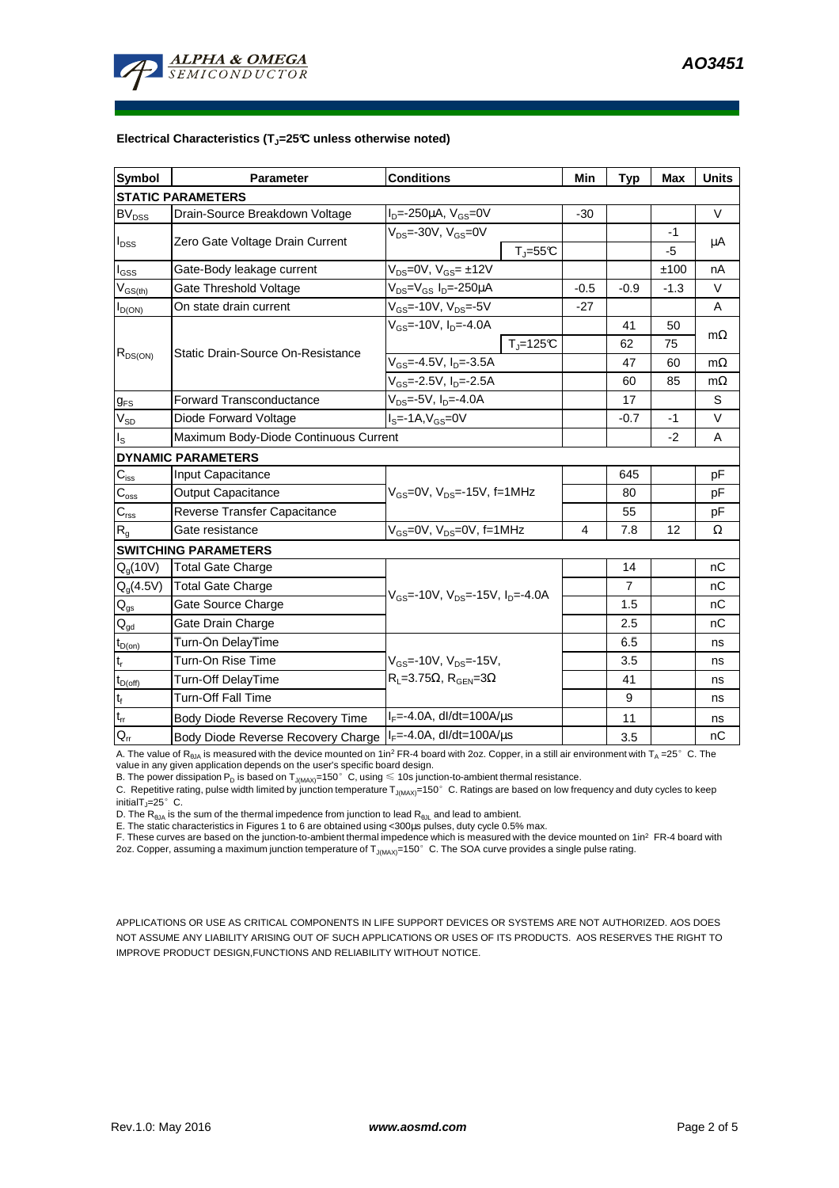

## **Electrical Characteristics (TJ=25°C unless otherwise noted)**

| <b>Symbol</b>                 | Parameter                                                                | <b>Conditions</b>                                            | Min            | <b>Typ</b>     | <b>Max</b> | <b>Units</b> |  |  |  |  |  |
|-------------------------------|--------------------------------------------------------------------------|--------------------------------------------------------------|----------------|----------------|------------|--------------|--|--|--|--|--|
| <b>STATIC PARAMETERS</b>      |                                                                          |                                                              |                |                |            |              |  |  |  |  |  |
| <b>BV<sub>DSS</sub></b>       | Drain-Source Breakdown Voltage                                           | $I_{D} = -250 \mu A$ , $V_{GS} = 0V$                         | $-30$          |                |            | V            |  |  |  |  |  |
| $I_{DSS}$                     |                                                                          | $V_{DS}$ =-30V, $V_{GS}$ =0V                                 |                |                | $-1$       |              |  |  |  |  |  |
|                               | Zero Gate Voltage Drain Current                                          | $T_{\parallel} = 55$ °C                                      |                |                | -5         | μA           |  |  |  |  |  |
| $I_{GSS}$                     | Gate-Body leakage current                                                | $V_{DS} = 0V$ , $V_{GS} = \pm 12V$                           |                |                | ±100       | nA           |  |  |  |  |  |
| $V_{GS(th)}$                  | Gate Threshold Voltage                                                   | V <sub>DS</sub> =V <sub>GS</sub> I <sub>D</sub> =-250µA      | $-0.5$         | $-0.9$         | $-1.3$     | V            |  |  |  |  |  |
| $I_{D(ON)}$                   | $V_{GS} = -10V, V_{DS} = -5V$<br>On state drain current                  |                                                              | $-27$          |                |            | A            |  |  |  |  |  |
| $R_{DS(ON)}$                  |                                                                          | $V_{GS}$ =-10V, $I_{D}$ =-4.0A                               |                | 41             | 50         |              |  |  |  |  |  |
|                               |                                                                          | $Tj=125C$                                                    |                | 62             | 75         | $m\Omega$    |  |  |  |  |  |
|                               | <b>Static Drain-Source On-Resistance</b>                                 | $V_{GS}$ =-4.5V, I <sub>D</sub> =-3.5A                       |                | 47             | 60         | $m\Omega$    |  |  |  |  |  |
|                               |                                                                          | V <sub>GS</sub> =-2.5V, I <sub>D</sub> =-2.5A                |                | 60             | 85         | $m\Omega$    |  |  |  |  |  |
| $g_{FS}$                      | <b>Forward Transconductance</b>                                          | $V_{DS}$ =-5V, $I_{D}$ =-4.0A                                |                | 17             |            | S            |  |  |  |  |  |
| $V_{SD}$                      | Diode Forward Voltage                                                    | $IS=-1A, VGS=0V$                                             |                | $-0.7$         | $-1$       | $\vee$       |  |  |  |  |  |
| Is                            | Maximum Body-Diode Continuous Current                                    |                                                              |                | $-2$           | A          |              |  |  |  |  |  |
|                               | <b>DYNAMIC PARAMETERS</b>                                                |                                                              |                |                |            |              |  |  |  |  |  |
| $C_{iss}$                     | Input Capacitance                                                        |                                                              |                | 645            |            | рF           |  |  |  |  |  |
| $C_{\rm oss}$                 | Output Capacitance<br>V <sub>GS</sub> =0V, V <sub>DS</sub> =-15V, f=1MHz |                                                              |                | 80             |            | pF           |  |  |  |  |  |
| $C_{\rm rss}$                 | Reverse Transfer Capacitance                                             |                                                              |                | 55             |            | pF           |  |  |  |  |  |
| R <sub>g</sub>                | Gate resistance                                                          | $V_{GS}$ =0V, $V_{DS}$ =0V, f=1MHz                           | $\overline{4}$ | 7.8            | 12         | Ω            |  |  |  |  |  |
|                               | <b>SWITCHING PARAMETERS</b>                                              |                                                              |                |                |            |              |  |  |  |  |  |
| $Q_q(10V)$                    | Total Gate Charge                                                        |                                                              |                | 14             |            | nC           |  |  |  |  |  |
| $Q_q(4.5V)$                   | <b>Total Gate Charge</b>                                                 | $V_{GS}$ =-10V, V <sub>DS</sub> =-15V, I <sub>D</sub> =-4.0A |                | $\overline{7}$ |            | nC           |  |  |  |  |  |
| $Q_{gs}$                      | Gate Source Charge                                                       |                                                              |                | 1.5            |            | nC           |  |  |  |  |  |
| $\mathbf{Q}_{\text{gd}}$      | Gate Drain Charge                                                        |                                                              |                | 2.5            |            | nC           |  |  |  |  |  |
| $t_{D(on)}$                   | Turn-On DelayTime                                                        |                                                              |                | 6.5            |            | ns           |  |  |  |  |  |
| $t_r$                         | Turn-On Rise Time                                                        | $V_{GS}$ =-10V, $V_{DS}$ =-15V,                              |                | 3.5            |            | ns           |  |  |  |  |  |
| $t_{D{\rm (off)}}$            | Turn-Off DelayTime                                                       | $R_L = 3.75\Omega$ , $R_{GEN} = 3\Omega$                     |                | 41             |            | ns           |  |  |  |  |  |
| $\mathfrak{t}_{\mathfrak{f}}$ | <b>Turn-Off Fall Time</b>                                                |                                                              |                | 9              |            | ns           |  |  |  |  |  |
| $\mathfrak{t}_{\text{rr}}$    | Body Diode Reverse Recovery Time                                         | $I_F = -4.0A$ , dl/dt=100A/us                                |                | 11             |            | ns           |  |  |  |  |  |
| $Q_{rr}$                      | Body Diode Reverse Recovery Charge   IF=-4.0A, dl/dt=100A/us             |                                                              |                | 3.5            |            | nC           |  |  |  |  |  |

A. The value of R<sub>eJA</sub> is measured with the device mounted on 1in<sup>2</sup> FR-4 board with 2oz. Copper, in a still air environment with T<sub>A</sub> =25° C. The<br>value in any given application depends on the user's specific board design

C. Repetitive rating, pulse width limited by junction temperature T<sub>J(MAX)</sub>=150°C. Ratings are based on low frequency and duty cycles to keep initialT<sub>J</sub>=25 $^{\circ}$  C.

D. The  $R_{\theta JA}$  is the sum of the thermal impedence from junction to lead  $R_{\theta JL}$  and lead to ambient.

E. The static characteristics in Figures 1 to 6 are obtained using <300µs pulses, duty cycle 0.5% max.

F. These curves are based on the junction-to-ambient thermal impedence which is measured with the device mounted on 1in<sup>2</sup> FR-4 board with 2oz. Copper, assuming a maximum junction temperature of  $T_{J(MAX)}$ =150°C. The SOA curve provides a single pulse rating.

APPLICATIONS OR USE AS CRITICAL COMPONENTS IN LIFE SUPPORT DEVICES OR SYSTEMS ARE NOT AUTHORIZED. AOS DOES NOT ASSUME ANY LIABILITY ARISING OUT OF SUCH APPLICATIONS OR USES OF ITS PRODUCTS. AOS RESERVES THE RIGHT TO IMPROVE PRODUCT DESIGN,FUNCTIONS AND RELIABILITY WITHOUT NOTICE.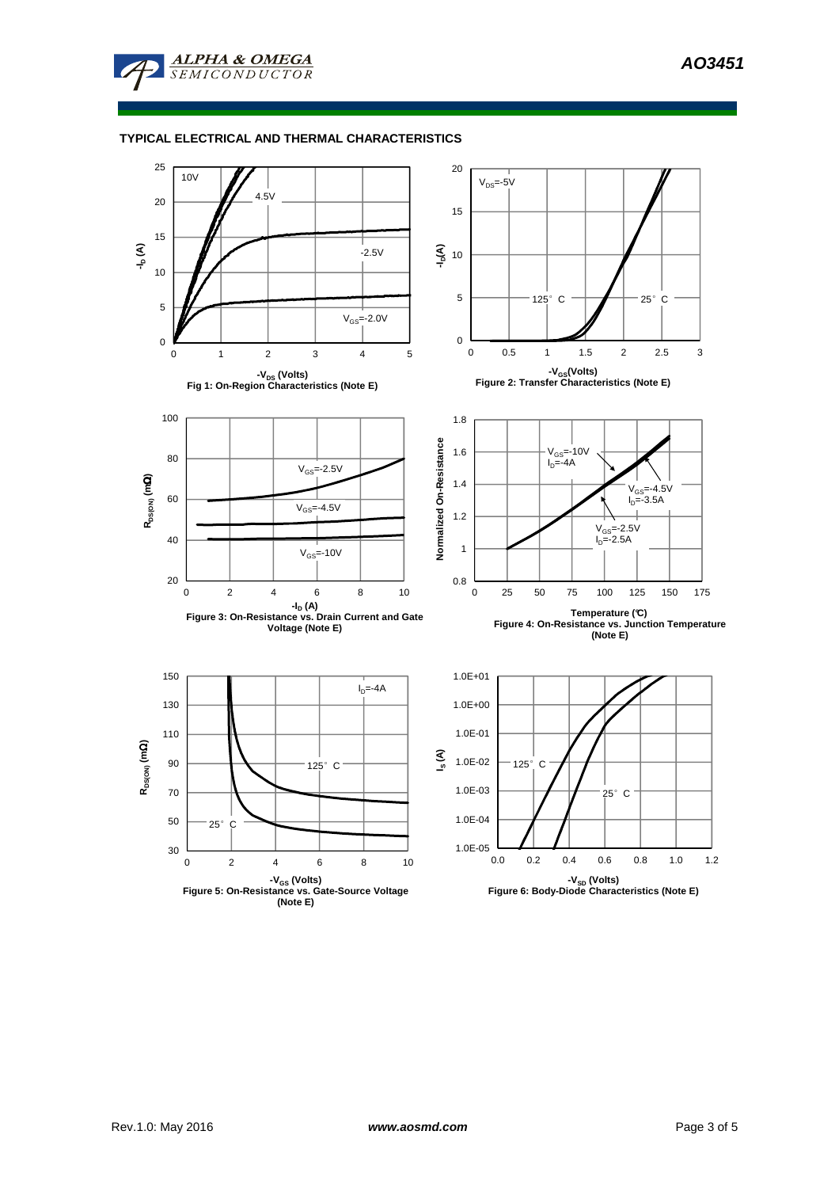

**ALPHA & OMEGA SEMICONDUCTOR** 

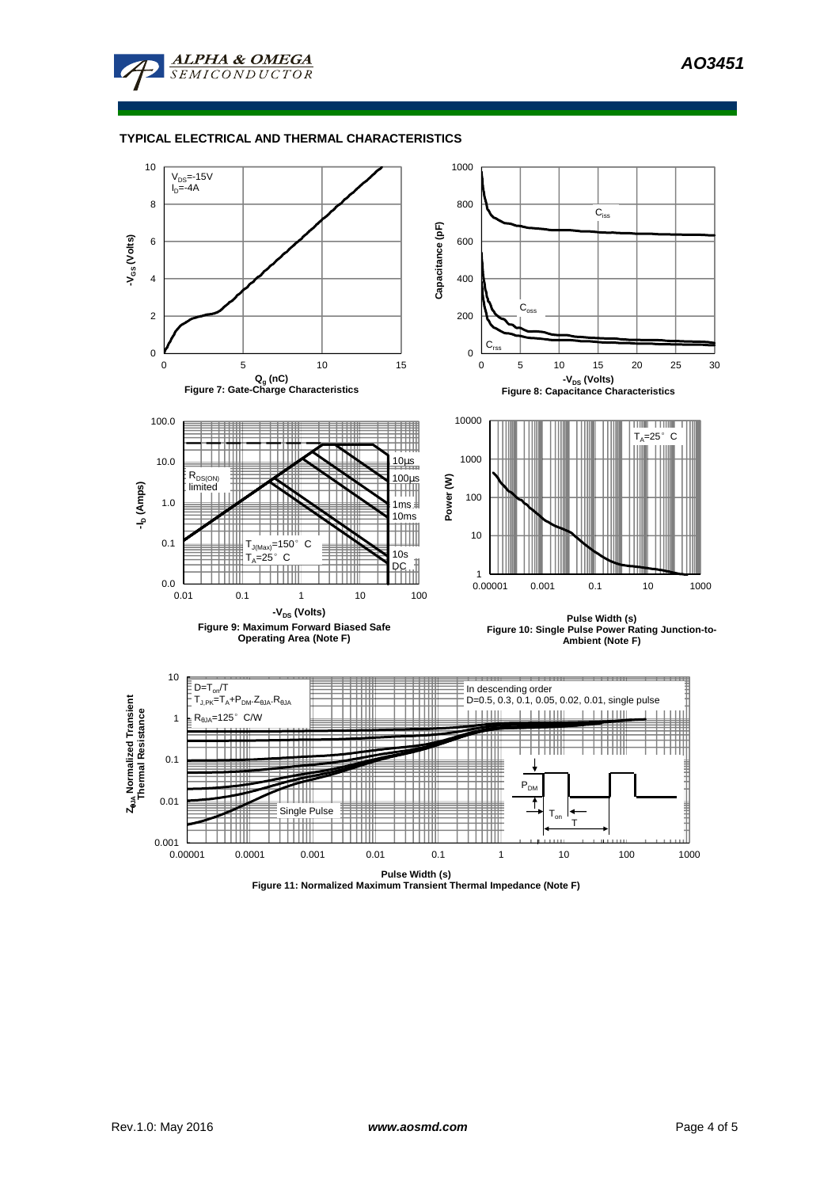